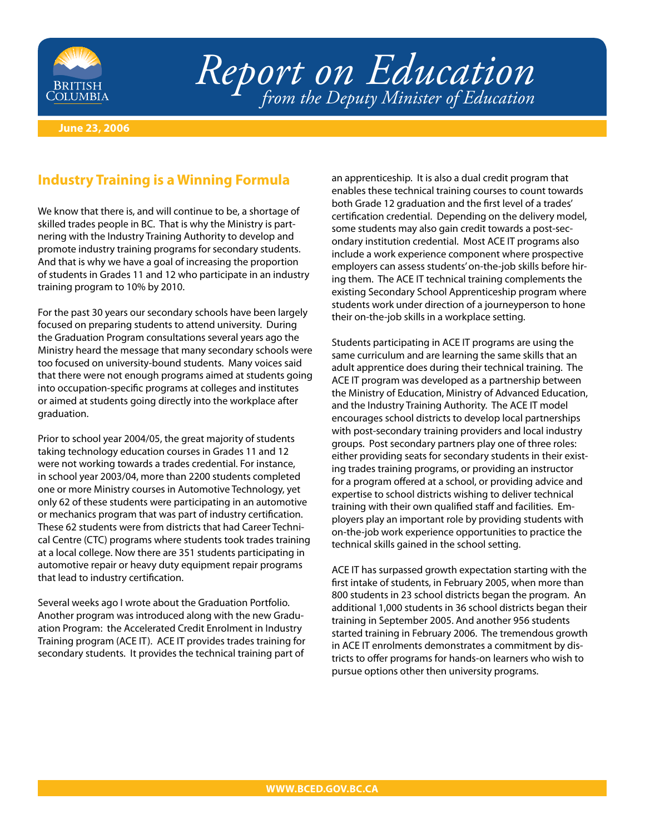

## *Report on Education from the Deputy Minister of Education*

**June 23, 2006**

## **Industry Training is a Winning Formula**

We know that there is, and will continue to be, a shortage of skilled trades people in BC. That is why the Ministry is partnering with the Industry Training Authority to develop and promote industry training programs for secondary students. And that is why we have a goal of increasing the proportion of students in Grades 11 and 12 who participate in an industry training program to 10% by 2010.

For the past 30 years our secondary schools have been largely focused on preparing students to attend university. During the Graduation Program consultations several years ago the Ministry heard the message that many secondary schools were too focused on university-bound students. Many voices said that there were not enough programs aimed at students going into occupation-specific programs at colleges and institutes or aimed at students going directly into the workplace after graduation.

Prior to school year 2004/05, the great majority of students taking technology education courses in Grades 11 and 12 were not working towards a trades credential. For instance, in school year 2003/04, more than 2200 students completed one or more Ministry courses in Automotive Technology, yet only 62 of these students were participating in an automotive or mechanics program that was part of industry certification. These 62 students were from districts that had Career Technical Centre (CTC) programs where students took trades training at a local college. Now there are 351 students participating in automotive repair or heavy duty equipment repair programs that lead to industry certification.

Several weeks ago I wrote about the Graduation Portfolio. Another program was introduced along with the new Graduation Program: the Accelerated Credit Enrolment in Industry Training program (ACE IT). ACE IT provides trades training for secondary students. It provides the technical training part of

an apprenticeship. It is also a dual credit program that enables these technical training courses to count towards both Grade 12 graduation and the first level of a trades' certification credential. Depending on the delivery model, some students may also gain credit towards a post-secondary institution credential. Most ACE IT programs also include a work experience component where prospective employers can assess students' on-the-job skills before hiring them. The ACE IT technical training complements the existing Secondary School Apprenticeship program where students work under direction of a journeyperson to hone their on-the-job skills in a workplace setting.

Students participating in ACE IT programs are using the same curriculum and are learning the same skills that an adult apprentice does during their technical training. The ACE IT program was developed as a partnership between the Ministry of Education, Ministry of Advanced Education, and the Industry Training Authority. The ACE IT model encourages school districts to develop local partnerships with post-secondary training providers and local industry groups. Post secondary partners play one of three roles: either providing seats for secondary students in their existing trades training programs, or providing an instructor for a program offered at a school, or providing advice and expertise to school districts wishing to deliver technical training with their own qualified staff and facilities. Employers play an important role by providing students with on-the-job work experience opportunities to practice the technical skills gained in the school setting.

ACE IT has surpassed growth expectation starting with the first intake of students, in February 2005, when more than 800 students in 23 school districts began the program. An additional 1,000 students in 36 school districts began their training in September 2005. And another 956 students started training in February 2006. The tremendous growth in ACE IT enrolments demonstrates a commitment by districts to offer programs for hands-on learners who wish to pursue options other then university programs.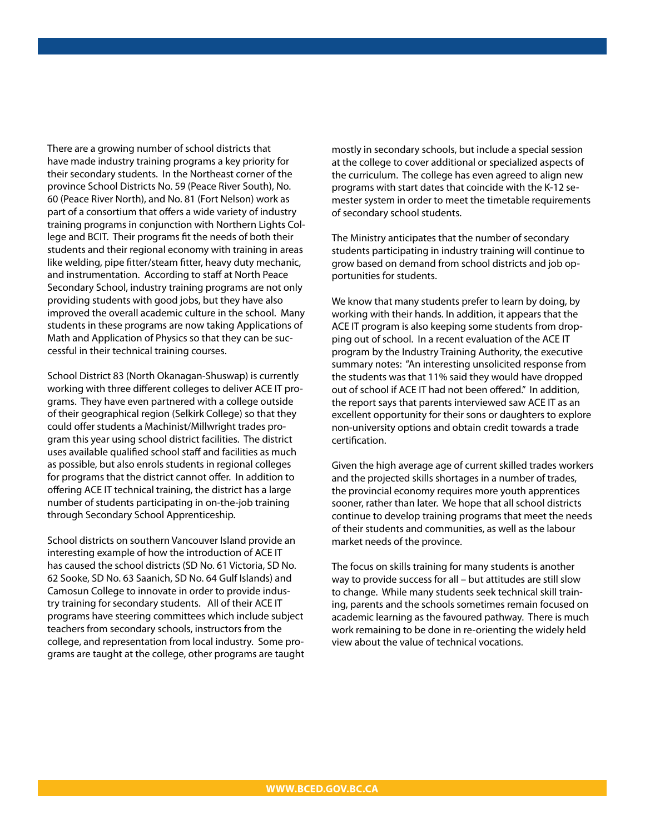There are a growing number of school districts that have made industry training programs a key priority for their secondary students. In the Northeast corner of the province School Districts No. 59 (Peace River South), No. 60 (Peace River North), and No. 81 (Fort Nelson) work as part of a consortium that offers a wide variety of industry training programs in conjunction with Northern Lights College and BCIT. Their programs fit the needs of both their students and their regional economy with training in areas like welding, pipe fitter/steam fitter, heavy duty mechanic, and instrumentation. According to staff at North Peace Secondary School, industry training programs are not only providing students with good jobs, but they have also improved the overall academic culture in the school. Many students in these programs are now taking Applications of Math and Application of Physics so that they can be successful in their technical training courses.

School District 83 (North Okanagan-Shuswap) is currently working with three different colleges to deliver ACE IT programs. They have even partnered with a college outside of their geographical region (Selkirk College) so that they could offer students a Machinist/Millwright trades program this year using school district facilities. The district uses available qualified school staff and facilities as much as possible, but also enrols students in regional colleges for programs that the district cannot offer. In addition to offering ACE IT technical training, the district has a large number of students participating in on-the-job training through Secondary School Apprenticeship.

School districts on southern Vancouver Island provide an interesting example of how the introduction of ACE IT has caused the school districts (SD No. 61 Victoria, SD No. 62 Sooke, SD No. 63 Saanich, SD No. 64 Gulf Islands) and Camosun College to innovate in order to provide industry training for secondary students. All of their ACE IT programs have steering committees which include subject teachers from secondary schools, instructors from the college, and representation from local industry. Some programs are taught at the college, other programs are taught mostly in secondary schools, but include a special session at the college to cover additional or specialized aspects of the curriculum. The college has even agreed to align new programs with start dates that coincide with the K-12 semester system in order to meet the timetable requirements of secondary school students.

The Ministry anticipates that the number of secondary students participating in industry training will continue to grow based on demand from school districts and job opportunities for students.

We know that many students prefer to learn by doing, by working with their hands. In addition, it appears that the ACE IT program is also keeping some students from dropping out of school. In a recent evaluation of the ACE IT program by the Industry Training Authority, the executive summary notes: "An interesting unsolicited response from the students was that 11% said they would have dropped out of school if ACE IT had not been offered." In addition, the report says that parents interviewed saw ACE IT as an excellent opportunity for their sons or daughters to explore non-university options and obtain credit towards a trade certification.

Given the high average age of current skilled trades workers and the projected skills shortages in a number of trades, the provincial economy requires more youth apprentices sooner, rather than later. We hope that all school districts continue to develop training programs that meet the needs of their students and communities, as well as the labour market needs of the province.

The focus on skills training for many students is another way to provide success for all – but attitudes are still slow to change. While many students seek technical skill training, parents and the schools sometimes remain focused on academic learning as the favoured pathway. There is much work remaining to be done in re-orienting the widely held view about the value of technical vocations.